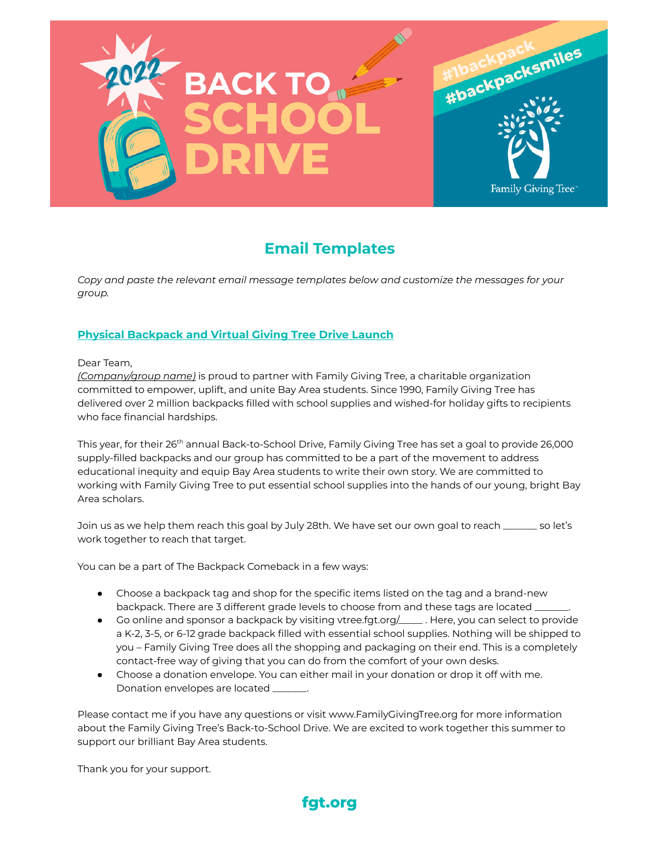

# **Email Templates**

*Copy and paste the relevant email message templates below and customize the messages for your group.*

## **Physical Backpack and Virtual Giving Tree Drive Launch**

#### Dear Team,

*(Company/group name)* is proud to partner with Family Giving Tree, a charitable organization committed to empower, uplift, and unite Bay Area students. Since 1990, Family Giving Tree has delivered over 2 million backpacks filled with school supplies and wished-for holiday gifts to recipients who face financial hardships.

This year, for their 26<sup>th</sup> annual Back-to-School Drive, Family Giving Tree has set a goal to provide 26,000 <sup>-</sup> supply-filled backpacks and our group has committed to be a part of the movement to address educational inequity and equip Bay Area students to write their own story. We are committed to working with Family Giving Tree to put essential school supplies into the hands of our young, bright Bay Area scholars.

Join us as we help them reach this goal by July 28th. We have set our own goal to reach \_\_\_\_\_\_\_ so let's work together to reach that target.

You can be a part of The Backpack Comeback in a few ways:

- Choose a backpack tag and shop for the specific items listed on the tag and a brand-new backpack. There are 3 different grade levels to choose from and these tags are located  $\equiv$
- Go online and sponsor a backpack by visiting vtree.fgt.org/\_\_\_\_\_ . Here, you can select to provide a K-2, 3-5, or 6-12 grade backpack filled with essential school supplies. Nothing will be shipped to you – Family Giving Tree does all the shopping and packaging on their end. This is a completely contact-free way of giving that you can do from the comfort of your own desks.
- Choose a donation envelope. You can either mail in your donation or drop it off with me. Donation envelopes are located \_\_\_\_\_

Please contact me if you have any questions or visit www.FamilyGivingTree.org for more information about the Family Giving Tree's Back-to-School Drive. We are excited to work together this summer to support our brilliant Bay Area students.

Thank you for your support.

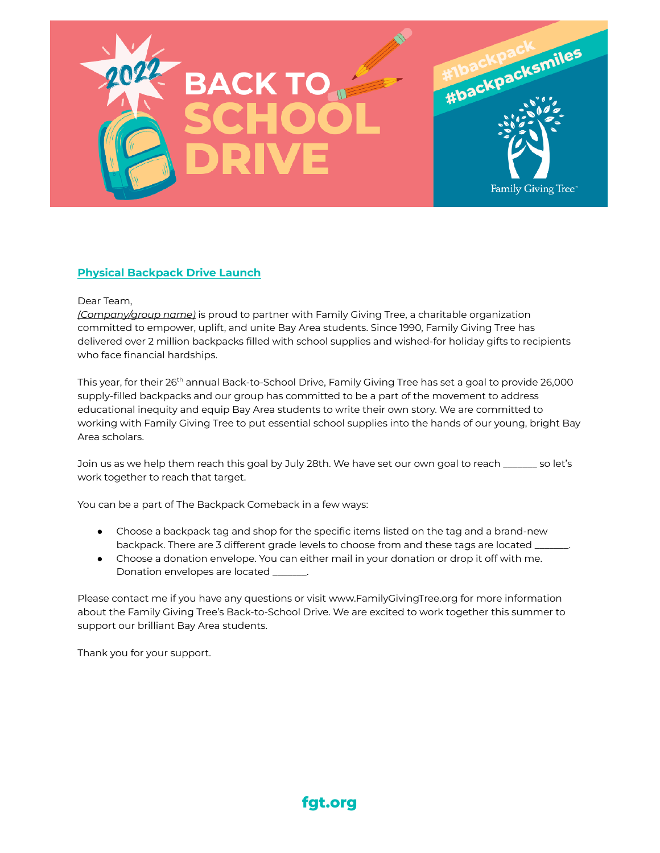

## **Physical Backpack Drive Launch**

#### Dear Team,

*(Company/group name)* is proud to partner with Family Giving Tree, a charitable organization committed to empower, uplift, and unite Bay Area students. Since 1990, Family Giving Tree has delivered over 2 million backpacks filled with school supplies and wished-for holiday gifts to recipients who face financial hardships.

This year, for their 26<sup>th</sup> annual Back-to-School Drive, Family Giving Tree has set a goal to provide 26,000 <sup>-</sup> supply-filled backpacks and our group has committed to be a part of the movement to address educational inequity and equip Bay Area students to write their own story. We are committed to working with Family Giving Tree to put essential school supplies into the hands of our young, bright Bay Area scholars.

Join us as we help them reach this goal by July 28th. We have set our own goal to reach \_\_\_\_\_\_\_ so let's work together to reach that target.

You can be a part of The Backpack Comeback in a few ways:

- Choose a backpack tag and shop for the specific items listed on the tag and a brand-new backpack. There are 3 different grade levels to choose from and these tags are located \_
- Choose a donation envelope. You can either mail in your donation or drop it off with me. Donation envelopes are located \_\_\_\_\_\_\_.

Please contact me if you have any questions or visit www.FamilyGivingTree.org for more information about the Family Giving Tree's Back-to-School Drive. We are excited to work together this summer to support our brilliant Bay Area students.

Thank you for your support.

## **fgt.org**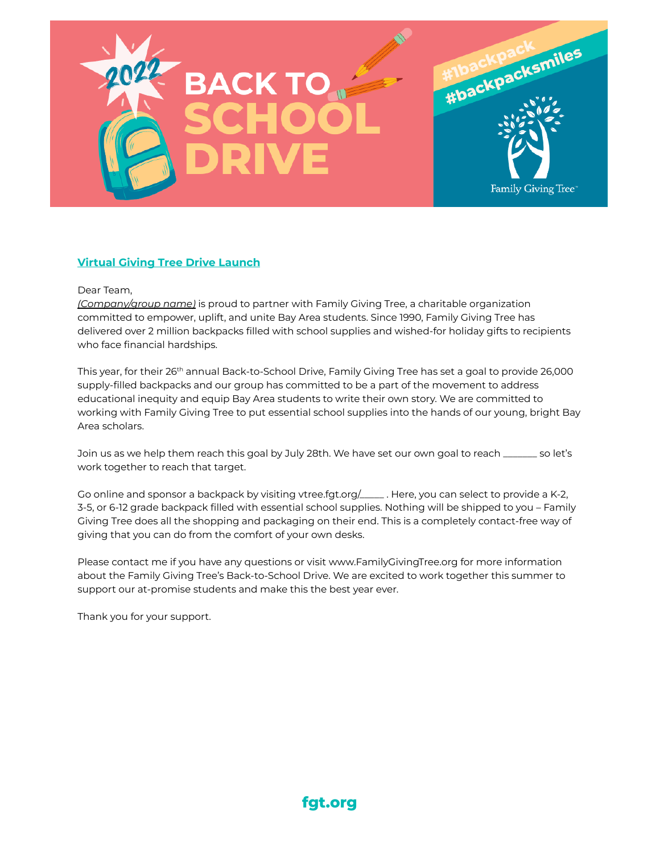

### **Virtual Giving Tree Drive Launch**

#### Dear Team,

*(Company/group name)* is proud to partner with Family Giving Tree, a charitable organization committed to empower, uplift, and unite Bay Area students. Since 1990, Family Giving Tree has delivered over 2 million backpacks filled with school supplies and wished-for holiday gifts to recipients who face financial hardships.

This year, for their 26<sup>th</sup> annual Back-to-School Drive, Family Giving Tree has set a goal to provide 26,000 <sup>-</sup> supply-filled backpacks and our group has committed to be a part of the movement to address educational inequity and equip Bay Area students to write their own story. We are committed to working with Family Giving Tree to put essential school supplies into the hands of our young, bright Bay Area scholars.

Join us as we help them reach this goal by July 28th. We have set our own goal to reach \_\_\_\_\_\_\_ so let's work together to reach that target.

Go online and sponsor a backpack by visiting vtree.fgt.org/\_\_\_\_\_\_. Here, you can select to provide a K-2, 3-5, or 6-12 grade backpack filled with essential school supplies. Nothing will be shipped to you – Family Giving Tree does all the shopping and packaging on their end. This is a completely contact-free way of giving that you can do from the comfort of your own desks.

Please contact me if you have any questions or visit www.FamilyGivingTree.org for more information about the Family Giving Tree's Back-to-School Drive. We are excited to work together this summer to support our at-promise students and make this the best year ever.

Thank you for your support.

**fgt.org**